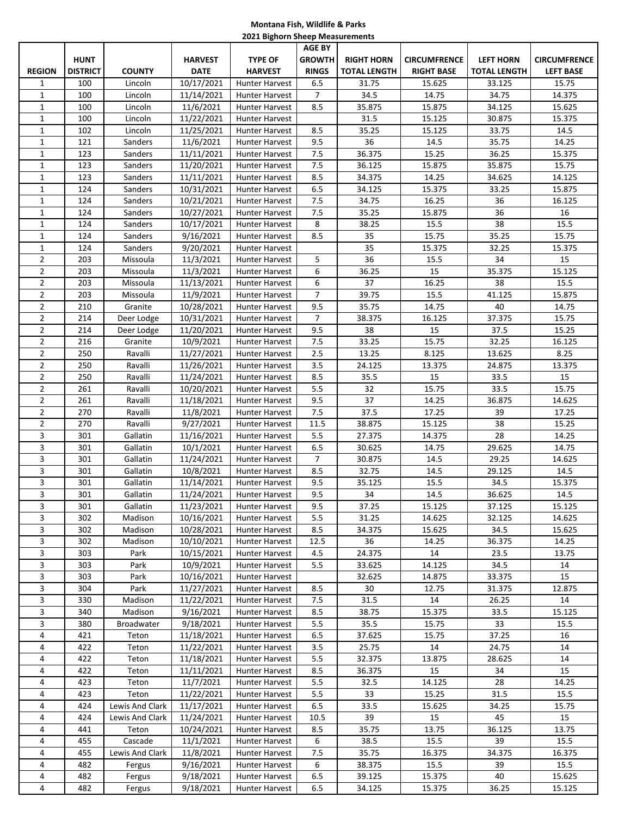## **Montana Fish, Wildlife & Parks 2021 Bighorn Sheep Measurements**

|                |                 |                 |                |                       | <b>AGE BY</b>  |                   |                     |                     |                     |
|----------------|-----------------|-----------------|----------------|-----------------------|----------------|-------------------|---------------------|---------------------|---------------------|
|                | <b>HUNT</b>     |                 | <b>HARVEST</b> | <b>TYPE OF</b>        | <b>GROWTH</b>  | <b>RIGHT HORN</b> | <b>CIRCUMFRENCE</b> | <b>LEFT HORN</b>    | <b>CIRCUMFRENCE</b> |
| <b>REGION</b>  | <b>DISTRICT</b> | <b>COUNTY</b>   | <b>DATE</b>    | <b>HARVEST</b>        | <b>RINGS</b>   | TOTAL LENGTH      | <b>RIGHT BASE</b>   | <b>TOTAL LENGTH</b> | <b>LEFT BASE</b>    |
| 1              | 100             | Lincoln         | 10/17/2021     | <b>Hunter Harvest</b> | 6.5            | 31.75             | 15.625              | 33.125              | 15.75               |
| $\mathbf{1}$   | 100             | Lincoln         | 11/14/2021     | <b>Hunter Harvest</b> | $\overline{7}$ | 34.5              | 14.75               | 34.75               | 14.375              |
| $\mathbf{1}$   | 100             | Lincoln         | 11/6/2021      | Hunter Harvest        | 8.5            | 35.875            | 15.875              | 34.125              | 15.625              |
| $\mathbf{1}$   | 100             | Lincoln         | 11/22/2021     | Hunter Harvest        |                | 31.5              | 15.125              | 30.875              | 15.375              |
| $\mathbf{1}$   | 102             | Lincoln         | 11/25/2021     | <b>Hunter Harvest</b> | 8.5            | 35.25             | 15.125              | 33.75               | 14.5                |
| $\mathbf{1}$   | 121             | Sanders         | 11/6/2021      | <b>Hunter Harvest</b> | 9.5            | 36                | 14.5                | 35.75               | 14.25               |
| $\mathbf{1}$   | 123             | Sanders         | 11/11/2021     | <b>Hunter Harvest</b> | 7.5            | 36.375            | 15.25               | 36.25               | 15.375              |
| $\mathbf{1}$   | 123             | Sanders         | 11/20/2021     | Hunter Harvest        | 7.5            | 36.125            | 15.875              | 35.875              | 15.75               |
| $\mathbf{1}$   | 123             | Sanders         | 11/11/2021     | Hunter Harvest        | 8.5            | 34.375            | 14.25               | 34.625              | 14.125              |
| $\mathbf{1}$   | 124             | Sanders         | 10/31/2021     | Hunter Harvest        | 6.5            | 34.125            | 15.375              | 33.25               | 15.875              |
| $\mathbf{1}$   | 124             | Sanders         | 10/21/2021     | <b>Hunter Harvest</b> | 7.5            | 34.75             | 16.25               | 36                  | 16.125              |
| $\mathbf{1}$   | 124             | Sanders         | 10/27/2021     | <b>Hunter Harvest</b> | 7.5            | 35.25             | 15.875              | 36                  | 16                  |
| $\mathbf{1}$   | 124             | Sanders         | 10/17/2021     | <b>Hunter Harvest</b> | 8              | 38.25             | 15.5                | 38                  | 15.5                |
| $\mathbf{1}$   | 124             | Sanders         | 9/16/2021      | Hunter Harvest        | 8.5            | 35                | 15.75               | 35.25               | 15.75               |
| $\mathbf{1}$   | 124             | Sanders         | 9/20/2021      | <b>Hunter Harvest</b> |                | 35                | 15.375              | 32.25               | 15.375              |
| $\overline{2}$ | 203             | Missoula        | 11/3/2021      | <b>Hunter Harvest</b> | 5              | 36                | 15.5                | 34                  | 15                  |
| $\overline{2}$ | 203             | Missoula        | 11/3/2021      | <b>Hunter Harvest</b> | 6              | 36.25             | 15                  | 35.375              | 15.125              |
| $\overline{2}$ | 203             | Missoula        | 11/13/2021     | Hunter Harvest        | 6              | 37                | 16.25               | 38                  | 15.5                |
| $\overline{2}$ | 203             | Missoula        | 11/9/2021      | <b>Hunter Harvest</b> | $\overline{7}$ | 39.75             | 15.5                | 41.125              | 15.875              |
| $\overline{2}$ | 210             | Granite         | 10/28/2021     | Hunter Harvest        | 9.5            | 35.75             | 14.75               | 40                  | 14.75               |
| $\overline{2}$ | 214             | Deer Lodge      | 10/31/2021     | <b>Hunter Harvest</b> | $\overline{7}$ | 38.375            | 16.125              | 37.375              | 15.75               |
| $\overline{2}$ | 214             | Deer Lodge      | 11/20/2021     | <b>Hunter Harvest</b> | 9.5            | 38                | 15                  | 37.5                | 15.25               |
| $\overline{2}$ | 216             | Granite         | 10/9/2021      | Hunter Harvest        | 7.5            | 33.25             | 15.75               | 32.25               | 16.125              |
| $\overline{2}$ | 250             | Ravalli         | 11/27/2021     | <b>Hunter Harvest</b> | 2.5            | 13.25             | 8.125               | 13.625              | 8.25                |
| $\overline{2}$ | 250             | Ravalli         | 11/26/2021     | <b>Hunter Harvest</b> | 3.5            | 24.125            | 13.375              | 24.875              | 13.375              |
| $\overline{2}$ | 250             | Ravalli         | 11/24/2021     | <b>Hunter Harvest</b> | 8.5            | 35.5              | 15                  | 33.5                | 15                  |
| $\overline{2}$ | 261             | Ravalli         | 10/20/2021     | <b>Hunter Harvest</b> | 5.5            | 32                | 15.75               | 33.5                | 15.75               |
| $\overline{2}$ | 261             | Ravalli         | 11/18/2021     | Hunter Harvest        | 9.5            | 37                | 14.25               | 36.875              | 14.625              |
| $\overline{2}$ | 270             | Ravalli         | 11/8/2021      | Hunter Harvest        | 7.5            | 37.5              | 17.25               | 39                  | 17.25               |
| $\overline{2}$ | 270             | Ravalli         | 9/27/2021      | Hunter Harvest        | 11.5           | 38.875            | 15.125              | 38                  | 15.25               |
| 3              | 301             | Gallatin        | 11/16/2021     | <b>Hunter Harvest</b> | 5.5            | 27.375            | 14.375              | 28                  | 14.25               |
| 3              | 301             | Gallatin        | 10/1/2021      | <b>Hunter Harvest</b> | 6.5            | 30.625            | 14.75               | 29.625              | 14.75               |
| 3              | 301             | Gallatin        | 11/24/2021     | Hunter Harvest        | $\overline{7}$ | 30.875            | 14.5                | 29.25               | 14.625              |
| 3              | 301             | Gallatin        | 10/8/2021      | Hunter Harvest        | 8.5            | 32.75             | 14.5                | 29.125              | 14.5                |
| 3              | 301             | Gallatin        | 11/14/2021     | <b>Hunter Harvest</b> | 9.5            | 35.125            | 15.5                | 34.5                | 15.375              |
| 3              | 301             | Gallatin        | 11/24/2021     | <b>Hunter Harvest</b> | 9.5            | 34                | 14.5                | 36.625              | 14.5                |
| 3              | 301             | Gallatin        | 11/23/2021     | Hunter Harvest        | 9.5            | 37.25             | 15.125              | 37.125              | 15.125              |
| 3              | 302             | Madison         | 10/16/2021     | Hunter Harvest        | 5.5            | 31.25             | 14.625              | 32.125              | 14.625              |
| 3              | 302             | Madison         | 10/28/2021     | Hunter Harvest        | 8.5            | 34.375            | 15.625              | 34.5                | 15.625              |
| 3              | 302             | Madison         | 10/10/2021     | Hunter Harvest        | 12.5           | 36                | 14.25               | 36.375              | 14.25               |
| 3              | 303             | Park            | 10/15/2021     | Hunter Harvest        | 4.5            | 24.375            | 14                  | 23.5                | 13.75               |
| 3              | 303             | Park            | 10/9/2021      | Hunter Harvest        | 5.5            | 33.625            | 14.125              | 34.5                | 14                  |
| 3              | 303             | Park            | 10/16/2021     | Hunter Harvest        |                | 32.625            | 14.875              | 33.375              | 15                  |
| 3              | 304             | Park            | 11/27/2021     | <b>Hunter Harvest</b> | 8.5            | 30                | 12.75               | 31.375              | 12.875              |
| 3              | 330             | Madison         | 11/22/2021     | <b>Hunter Harvest</b> | 7.5            | 31.5              | 14                  | 26.25               | 14                  |
| 3              | 340             | Madison         | 9/16/2021      | <b>Hunter Harvest</b> | 8.5            | 38.75             | 15.375              | 33.5                | 15.125              |
| 3              | 380             | Broadwater      | 9/18/2021      | <b>Hunter Harvest</b> | 5.5            | 35.5              | 15.75               | 33                  | 15.5                |
| 4              | 421             | Teton           | 11/18/2021     | Hunter Harvest        | 6.5            | 37.625            | 15.75               | 37.25               | 16                  |
| 4              | 422             | Teton           | 11/22/2021     | Hunter Harvest        | 3.5            | 25.75             | 14                  | 24.75               | 14                  |
| 4              | 422             | Teton           | 11/18/2021     | Hunter Harvest        | 5.5            | 32.375            | 13.875              | 28.625              | 14                  |
| 4              | 422             | Teton           | 11/11/2021     | Hunter Harvest        | 8.5            | 36.375            | 15                  | 34                  | 15                  |
| 4              | 423             | Teton           | 11/7/2021      | Hunter Harvest        | 5.5            | 32.5              | 14.125              | 28                  | 14.25               |
| 4              | 423             | Teton           | 11/22/2021     | Hunter Harvest        | 5.5            | 33                | 15.25               | 31.5                | 15.5                |
| 4              | 424             | Lewis And Clark | 11/17/2021     | Hunter Harvest        | 6.5            | 33.5              | 15.625              | 34.25               | 15.75               |
| 4              | 424             | Lewis And Clark | 11/24/2021     | <b>Hunter Harvest</b> | 10.5           | 39                | 15                  | 45                  | 15                  |
| 4              | 441             | Teton           | 10/24/2021     | <b>Hunter Harvest</b> | 8.5            | 35.75             | 13.75               | 36.125              | 13.75               |
| 4              | 455             | Cascade         | 11/1/2021      | <b>Hunter Harvest</b> | 6              | 38.5              | 15.5                | 39                  | 15.5                |
| 4              | 455             | Lewis And Clark | 11/8/2021      | Hunter Harvest        | 7.5            | 35.75             | 16.375              | 34.375              | 16.375              |
| 4              | 482             | Fergus          | 9/16/2021      | Hunter Harvest        | 6              | 38.375            | 15.5                | 39                  | 15.5                |
| 4              | 482             | Fergus          | 9/18/2021      | Hunter Harvest        | 6.5            | 39.125            | 15.375              | 40                  | 15.625              |
| 4              | 482             | Fergus          | 9/18/2021      | Hunter Harvest        | 6.5            | 34.125            | 15.375              | 36.25               | 15.125              |